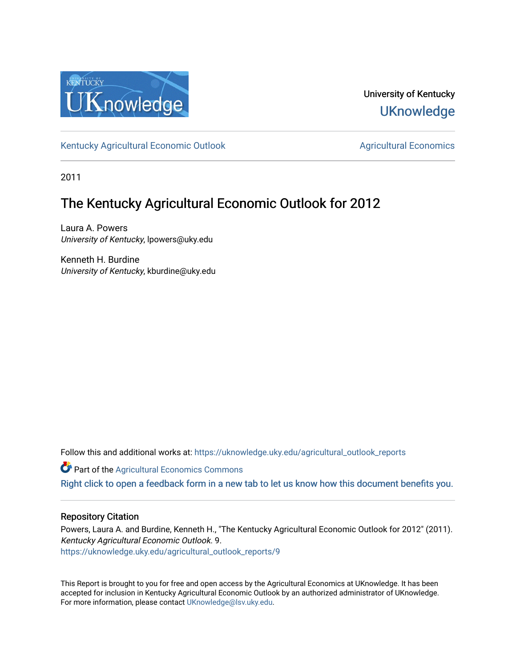

University of Kentucky **UKnowledge** 

[Kentucky Agricultural Economic Outlook](https://uknowledge.uky.edu/agricultural_outlook_reports) [Agricultural Economics](https://uknowledge.uky.edu/agecon) Agricultural Economics

2011

# The Kentucky Agricultural Economic Outlook for 2012

Laura A. Powers University of Kentucky, lpowers@uky.edu

Kenneth H. Burdine University of Kentucky, kburdine@uky.edu

Follow this and additional works at: [https://uknowledge.uky.edu/agricultural\\_outlook\\_reports](https://uknowledge.uky.edu/agricultural_outlook_reports?utm_source=uknowledge.uky.edu%2Fagricultural_outlook_reports%2F9&utm_medium=PDF&utm_campaign=PDFCoverPages) 

**Part of the Agricultural Economics Commons** 

[Right click to open a feedback form in a new tab to let us know how this document benefits you.](https://uky.az1.qualtrics.com/jfe/form/SV_9mq8fx2GnONRfz7)

## Repository Citation

Powers, Laura A. and Burdine, Kenneth H., "The Kentucky Agricultural Economic Outlook for 2012" (2011). Kentucky Agricultural Economic Outlook. 9. [https://uknowledge.uky.edu/agricultural\\_outlook\\_reports/9](https://uknowledge.uky.edu/agricultural_outlook_reports/9?utm_source=uknowledge.uky.edu%2Fagricultural_outlook_reports%2F9&utm_medium=PDF&utm_campaign=PDFCoverPages) 

This Report is brought to you for free and open access by the Agricultural Economics at UKnowledge. It has been accepted for inclusion in Kentucky Agricultural Economic Outlook by an authorized administrator of UKnowledge. For more information, please contact [UKnowledge@lsv.uky.edu.](mailto:UKnowledge@lsv.uky.edu)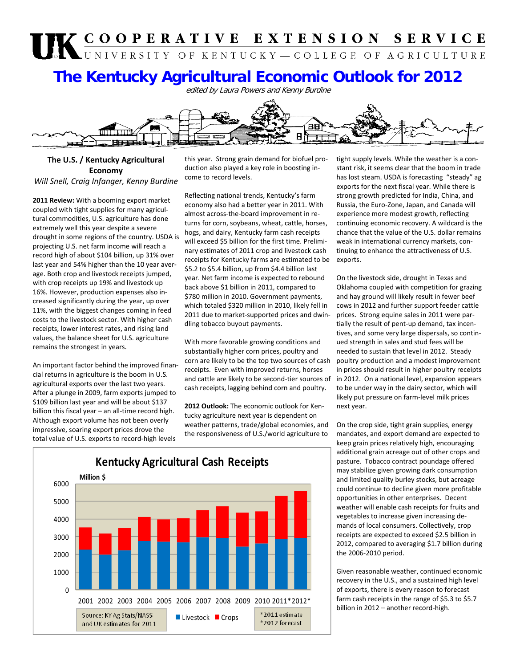# UK COOPERATIVE EXTENSION SERVICE

# **The Kentucky Agricultural Economic Outlook for 2012**

edited by Laura Powers and Kenny Burdine



# **The U.S. / Kentucky Agricultural Economy**

*Will Snell, Craig Infanger, Kenny Burdine*

**2011 Review:** With a booming export market coupled with tight supplies for many agricul‐ tural commodities, U.S. agriculture has done extremely well this year despite a severe drought in some regions of the country. USDA is projecting U.S. net farm income will reach a record high of about \$104 billion, up 31% over last year and 54% higher than the 10 year aver‐ age. Both crop and livestock receipts jumped, with crop receipts up 19% and livestock up 16%. However, production expenses also in‐ creased significantly during the year, up over 11%, with the biggest changes coming in feed costs to the livestock sector. With higher cash receipts, lower interest rates, and rising land values, the balance sheet for U.S. agriculture remains the strongest in years.

An important factor behind the improved finan‐ cial returns in agriculture is the boom in U.S. agricultural exports over the last two years. After a plunge in 2009, farm exports jumped to \$109 billion last year and will be about \$137 billion this fiscal year – an all-time record high. Although export volume has not been overly impressive, soaring export prices drove the total value of U.S. exports to record‐high levels

this year. Strong grain demand for biofuel pro‐ duction also played a key role in boosting in‐ come to record levels.

Reflecting national trends, Kentucky's farm economy also had a better year in 2011. With almost across‐the‐board improvement in re‐ turns for corn, soybeans, wheat, cattle, horses, hogs, and dairy, Kentucky farm cash receipts will exceed \$5 billion for the first time. Prelimi‐ nary estimates of 2011 crop and livestock cash receipts for Kentucky farms are estimated to be \$5.2 to \$5.4 billion, up from \$4.4 billion last year. Net farm income is expected to rebound back above \$1 billion in 2011, compared to \$780 million in 2010. Government payments, which totaled \$320 million in 2010, likely fell in 2011 due to market‐supported prices and dwin‐ dling tobacco buyout payments.

With more favorable growing conditions and substantially higher corn prices, poultry and corn are likely to be the top two sources of cash receipts. Even with improved returns, horses and cattle are likely to be second‐tier sources of cash receipts, lagging behind corn and poultry.

**2012 Outlook:** The economic outlook for Ken‐ tucky agriculture next year is dependent on weather patterns, trade/global economies, and the responsiveness of U.S./world agriculture to



tight supply levels. While the weather is a con‐ stant risk, it seems clear that the boom in trade has lost steam. USDA is forecasting "steady" ag exports for the next fiscal year. While there is strong growth predicted for India, China, and Russia, the Euro‐Zone, Japan, and Canada will experience more modest growth, reflecting continuing economic recovery. A wildcard is the chance that the value of the U.S. dollar remains weak in international currency markets, con‐ tinuing to enhance the attractiveness of U.S. exports.

On the livestock side, drought in Texas and Oklahoma coupled with competition for grazing and hay ground will likely result in fewer beef cows in 2012 and further support feeder cattle prices. Strong equine sales in 2011 were par‐ tially the result of pent‐up demand, tax incen‐ tives, and some very large dispersals, so contin‐ ued strength in sales and stud fees will be needed to sustain that level in 2012. Steady poultry production and a modest improvement in prices should result in higher poultry receipts in 2012. On a national level, expansion appears to be under way in the dairy sector, which will likely put pressure on farm‐level milk prices next year.

On the crop side, tight grain supplies, energy mandates, and export demand are expected to keep grain prices relatively high, encouraging additional grain acreage out of other crops and pasture. Tobacco contract poundage offered may stabilize given growing dark consumption and limited quality burley stocks, but acreage could continue to decline given more profitable opportunities in other enterprises. Decent weather will enable cash receipts for fruits and vegetables to increase given increasing de‐ mands of local consumers. Collectively, crop receipts are expected to exceed \$2.5 billion in 2012, compared to averaging \$1.7 billion during the 2006‐2010 period.

Given reasonable weather, continued economic recovery in the U.S., and a sustained high level of exports, there is every reason to forecast farm cash receipts in the range of \$5.3 to \$5.7 billion in 2012 – another record-high.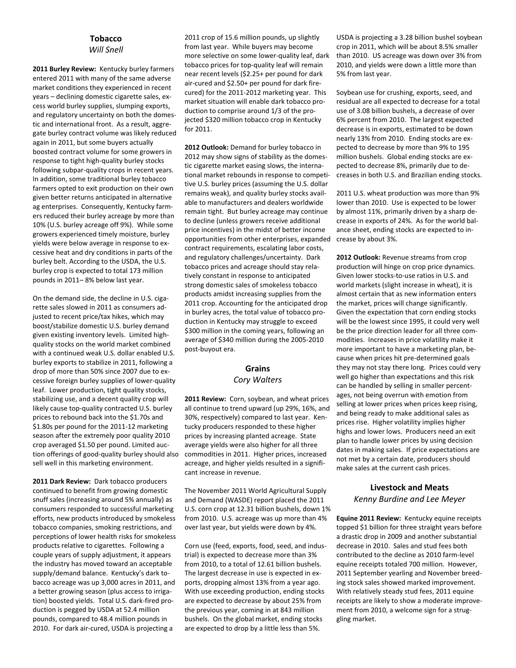#### **Tobacco** *Will Snell*

**2011 Burley Review:** Kentucky burley farmers entered 2011 with many of the same adverse market conditions they experienced in recent years – declining domestic cigarette sales, ex‐ cess world burley supplies, slumping exports, and regulatory uncertainty on both the domes‐ tic and international front. As a result, aggre‐ gate burley contract volume was likely reduced again in 2011, but some buyers actually boosted contract volume for some growers in response to tight high‐quality burley stocks following subpar‐quality crops in recent years. In addition, some traditional burley tobacco farmers opted to exit production on their own given better returns anticipated in alternative ag enterprises. Consequently, Kentucky farm‐ ers reduced their burley acreage by more than 10% (U.S. burley acreage off 9%). While some growers experienced timely moisture, burley yields were below average in response to ex‐ cessive heat and dry conditions in parts of the burley belt. According to the USDA, the U.S. burley crop is expected to total 173 million pounds in 2011– 8% below last year.

On the demand side, the decline in U.S. ciga‐ rette sales slowed in 2011 as consumers ad‐ justed to recent price/tax hikes, which may boost/stabilize domestic U.S. burley demand given existing inventory levels. Limited high‐ quality stocks on the world market combined with a continued weak U.S. dollar enabled U.S. burley exports to stabilize in 2011, following a drop of more than 50% since 2007 due to ex‐ cessive foreign burley supplies of lower‐quality leaf. Lower production, tight quality stocks, stabilizing use, and a decent quality crop will likely cause top‐quality contracted U.S. burley prices to rebound back into the \$1.70s and \$1.80s per pound for the 2011‐12 marketing season after the extremely poor quality 2010 crop averaged \$1.50 per pound. Limited auc‐ tion offerings of good‐quality burley should also sell well in this marketing environment.

**2011 Dark Review:** Dark tobacco producers continued to benefit from growing domestic snuff sales (increasing around 5% annually) as consumers responded to successful marketing efforts, new products introduced by smokeless tobacco companies, smoking restrictions, and perceptions of lower health risks for smokeless products relative to cigarettes. Following a couple years of supply adjustment, it appears the industry has moved toward an acceptable supply/demand balance. Kentucky's dark to‐ bacco acreage was up 3,000 acres in 2011, and a better growing season (plus access to irriga‐ tion) boosted yields. Total U.S. dark‐fired pro‐ duction is pegged by USDA at 52.4 million pounds, compared to 48.4 million pounds in 2010. For dark air‐cured, USDA is projecting a

2011 crop of 15.6 million pounds, up slightly from last year. While buyers may become more selective on some lower‐quality leaf, dark tobacco prices for top‐quality leaf will remain near recent levels (\$2.25+ per pound for dark air‐cured and \$2.50+ per pound for dark fire‐ cured) for the 2011‐2012 marketing year. This market situation will enable dark tobacco pro‐ duction to comprise around 1/3 of the pro‐ jected \$320 million tobacco crop in Kentucky for 2011.

**2012 Outlook:** Demand for burley tobacco in 2012 may show signs of stability as the domes‐ tic cigarette market easing slows, the interna‐ tional market rebounds in response to competi‐ tive U.S. burley prices (assuming the U.S. dollar remains weak), and quality burley stocks avail‐ able to manufacturers and dealers worldwide remain tight. But burley acreage may continue to decline (unless growers receive additional price incentives) in the midst of better income opportunities from other enterprises, expanded contract requirements, escalating labor costs, and regulatory challenges/uncertainty. Dark tobacco prices and acreage should stay rela‐ tively constant in response to anticipated strong domestic sales of smokeless tobacco products amidst increasing supplies from the 2011 crop. Accounting for the anticipated drop in burley acres, the total value of tobacco pro‐ duction in Kentucky may struggle to exceed \$300 million in the coming years, following an average of \$340 million during the 2005‐2010 post‐buyout era.

## **Grains** *Cory Walters*

**2011 Review:** Corn, soybean, and wheat prices all continue to trend upward (up 29%, 16%, and 30%, respectively) compared to last year. Ken‐ tucky producers responded to these higher prices by increasing planted acreage. State average yields were also higher for all three commodities in 2011. Higher prices, increased acreage, and higher yields resulted in a signifi‐ cant increase in revenue.

The November 2011 World Agricultural Supply and Demand (WASDE) report placed the 2011 U.S. corn crop at 12.31 billion bushels, down 1% from 2010. U.S. acreage was up more than 4% over last year, but yields were down by 4%.

Corn use (feed, exports, food, seed, and indus‐ trial) is expected to decrease more than 3% from 2010, to a total of 12.61 billion bushels. The largest decrease in use is expected in ex‐ ports, dropping almost 13% from a year ago. With use exceeding production, ending stocks are expected to decrease by about 25% from the previous year, coming in at 843 million bushels. On the global market, ending stocks are expected to drop by a little less than 5%.

USDA is projecting a 3.28 billion bushel soybean crop in 2011, which will be about 8.5% smaller than 2010. US acreage was down over 3% from 2010, and yields were down a little more than 5% from last year.

Soybean use for crushing, exports, seed, and residual are all expected to decrease for a total use of 3.08 billion bushels, a decrease of over 6% percent from 2010. The largest expected decrease is in exports, estimated to be down nearly 13% from 2010. Ending stocks are ex‐ pected to decrease by more than 9% to 195 million bushels. Global ending stocks are ex‐ pected to decrease 8%, primarily due to de‐ creases in both U.S. and Brazilian ending stocks.

2011 U.S. wheat production was more than 9% lower than 2010. Use is expected to be lower by almost 11%, primarily driven by a sharp de‐ crease in exports of 24%. As for the world bal‐ ance sheet, ending stocks are expected to in‐ crease by about 3%.

**2012 Outlook:** Revenue streams from crop production will hinge on crop price dynamics. Given lower stocks‐to‐use ratios in U.S. and world markets (slight increase in wheat), it is almost certain that as new information enters the market, prices will change significantly. Given the expectation that corn ending stocks will be the lowest since 1995, it could very well be the price direction leader for all three com‐ modities. Increases in price volatility make it more important to have a marketing plan, be‐ cause when prices hit pre‐determined goals they may not stay there long. Prices could very well go higher than expectations and this risk can be handled by selling in smaller percent‐ ages, not being overrun with emotion from selling at lower prices when prices keep rising, and being ready to make additional sales as prices rise. Higher volatility implies higher highs and lower lows. Producers need an exit plan to handle lower prices by using decision dates in making sales. If price expectations are not met by a certain date, producers should make sales at the current cash prices.

#### **Livestock and Meats** *Kenny Burdine and Lee Meyer*

**Equine 2011 Review:** Kentucky equine receipts topped \$1 billion for three straight years before a drastic drop in 2009 and another substantial decrease in 2010. Sales and stud fees both contributed to the decline as 2010 farm‐level equine receipts totaled 700 million. However, 2011 September yearling and November breed‐ ing stock sales showed marked improvement. With relatively steady stud fees, 2011 equine receipts are likely to show a moderate improve‐ ment from 2010, a welcome sign for a struggling market.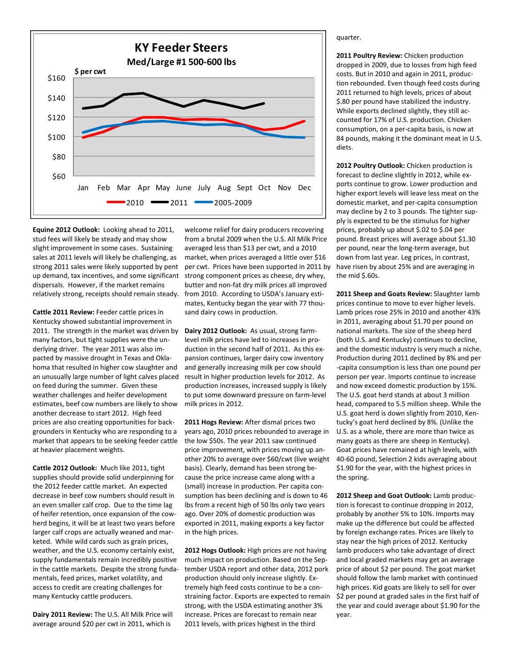

**Equine 2012 Outlook:** Looking ahead to 2011, stud fees will likely be steady and may show slight improvement in some cases. Sustaining sales at 2011 levels will likely be challenging, as strong 2011 sales were likely supported by pent up demand, tax incentives, and some significant dispersals. However, if the market remains relatively strong, receipts should remain steady.

**Cattle 2011 Review:** Feeder cattle prices in Kentucky showed substantial improvement in 2011. The strength in the market was driven by many factors, but tight supplies were the un‐ derlying driver. The year 2011 was also im‐ pacted by massive drought in Texas and Okla‐ homa that resulted in higher cow slaughter and an unusually large number of light calves placed on feed during the summer. Given these weather challenges and heifer development estimates, beef cow numbers are likely to show another decrease to start 2012. High feed prices are also creating opportunities for back‐ grounders in Kentucky who are responding to a market that appears to be seeking feeder cattle at heavier placement weights.

**Cattle 2012 Outlook:** Much like 2011, tight supplies should provide solid underpinning for the 2012 feeder cattle market. An expected decrease in beef cow numbers should result in an even smaller calf crop. Due to the time lag of heifer retention, once expansion of the cow‐ herd begins, it will be at least two years before larger calf crops are actually weaned and mar‐ keted. While wild cards such as grain prices, weather, and the U.S. economy certainly exist, supply fundamentals remain incredibly positive in the cattle markets. Despite the strong funda‐ mentals, feed prices, market volatility, and access to credit are creating challenges for many Kentucky cattle producers.

**Dairy 2011 Review:** The U.S. All Milk Price will average around \$20 per cwt in 2011, which is

welcome relief for dairy producers recovering from a brutal 2009 when the U.S. All Milk Price averaged less than \$13 per cwt, and a 2010 market, when prices averaged a little over \$16 per cwt. Prices have been supported in 2011 by strong component prices as cheese, dry whey, butter and non‐fat dry milk prices all improved from 2010. According to USDA's January estimates, Kentucky began the year with 77 thou‐ sand dairy cows in production.

**Dairy 2012 Outlook:** As usual, strong farm‐ level milk prices have led to increases in pro‐ duction in the second half of 2011. As this expansion continues, larger dairy cow inventory and generally increasing milk per cow should result in higher production levels for 2012. As production increases, increased supply is likely to put some downward pressure on farm‐level milk prices in 2012.

**2011 Hogs Review:** After dismal prices two years ago, 2010 prices rebounded to average in the low \$50s. The year 2011 saw continued price improvement, with prices moving up an‐ other 20% to average over \$60/cwt (live weight basis). Clearly, demand has been strong be‐ cause the price increase came along with a (small) increase in production. Per capita con‐ sumption has been declining and is down to 46 lbs from a recent high of 50 lbs only two years ago. Over 20% of domestic production was exported in 2011, making exports a key factor in the high prices.

**2012 Hogs Outlook:** High prices are not having much impact on production. Based on the Sep‐ tember USDA report and other data, 2012 pork production should only increase slightly. Ex‐ tremely high feed costs continue to be a con‐ straining factor. Exports are expected to remain strong, with the USDA estimating another 3% increase. Prices are forecast to remain near 2011 levels, with prices highest in the third

quarter.

**2011 Poultry Review:** Chicken production dropped in 2009, due to losses from high feed costs. But in 2010 and again in 2011, produc‐ tion rebounded. Even though feed costs during 2011 returned to high levels, prices of about \$.80 per pound have stabilized the industry. While exports declined slightly, they still accounted for 17% of U.S. production. Chicken consumption, on a per‐capita basis, is now at 84 pounds, making it the dominant meat in U.S. diets.

**2012 Poultry Outlook:** Chicken production is forecast to decline slightly in 2012, while ex‐ ports continue to grow. Lower production and higher export levels will leave less meat on the domestic market, and per‐capita consumption may decline by 2 to 3 pounds. The tighter supply is expected to be the stimulus for higher prices, probably up about \$.02 to \$.04 per pound. Breast prices will average about \$1.30 per pound, near the long‐term average, but down from last year. Leg prices, in contrast, have risen by about 25% and are averaging in the mid \$.60s.

**2011 Sheep and Goats Review:** Slaughter lamb prices continue to move to ever higher levels. Lamb prices rose 25% in 2010 and another 43% in 2011, averaging about \$1.70 per pound on national markets. The size of the sheep herd (both U.S. and Kentucky) continues to decline, and the domestic industry is very much a niche. Production during 2011 declined by 8% and per ‐capita consumption is less than one pound per person per year. Imports continue to increase and now exceed domestic production by 15%. The U.S. goat herd stands at about 3 million head, compared to 5.5 million sheep. While the U.S. goat herd is down slightly from 2010, Ken‐ tucky's goat herd declined by 8%. (Unlike the U.S. as a whole, there are more than twice as many goats as there are sheep in Kentucky). Goat prices have remained at high levels, with 40‐60 pound, Selection 2 kids averaging about \$1.90 for the year, with the highest prices in the spring.

**2012 Sheep and Goat Outlook:** Lamb produc‐ tion is forecast to continue dropping in 2012, probably by another 5% to 10%. Imports may make up the difference but could be affected by foreign exchange rates. Prices are likely to stay near the high prices of 2012. Kentucky lamb producers who take advantage of direct and local graded markets may get an average price of about \$2 per pound. The goat market should follow the lamb market with continued high prices. Kid goats are likely to sell for over \$2 per pound at graded sales in the first half of the year and could average about \$1.90 for the year.